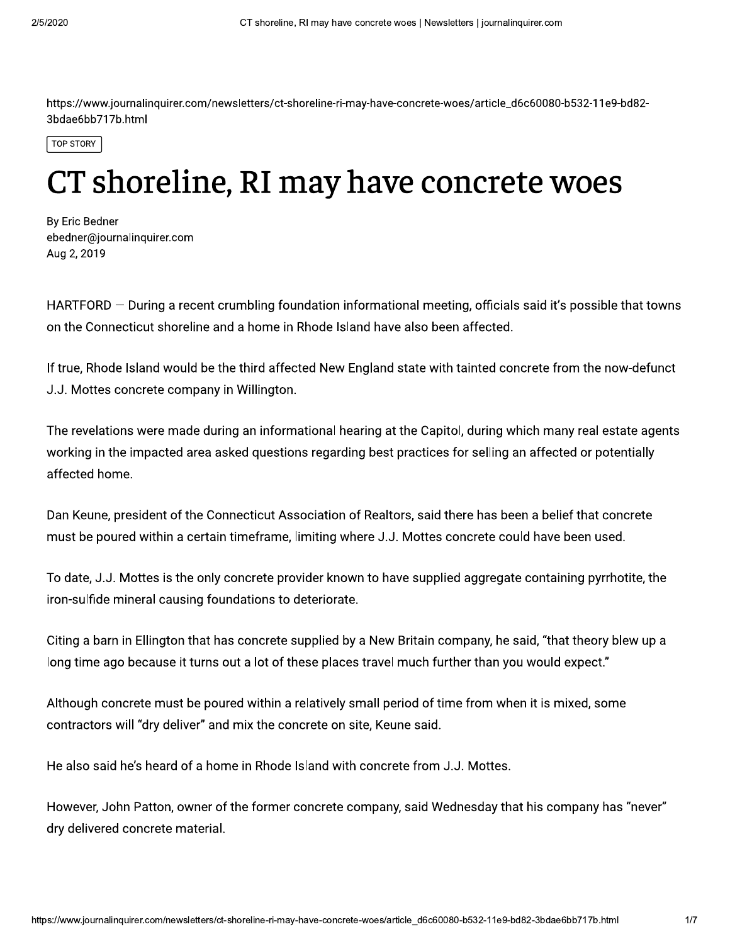https://www.journalinquirer.com/newsletters/ct-shoreline-ri-may-have-concrete-woes/article\_d6c60080-b532-11e9-bd82-3bdae6bb717b.html

**TOP STORY** 

## CT shoreline, RI may have concrete woes

By Eric Bedner ebedner@journalinquirer.com Aug 2, 2019

HARTFORD – During a recent crumbling foundation informational meeting, officials said it's possible that towns on the Connecticut shoreline and a home in Rhode Island have also been affected.

If true, Rhode Island would be the third affected New England state with tainted concrete from the now-defunct J.J. Mottes concrete company in Willington.

The revelations were made during an informational hearing at the Capitol, during which many real estate agents working in the impacted area asked questions regarding best practices for selling an affected or potentially affected home.

Dan Keune, president of the Connecticut Association of Realtors, said there has been a belief that concrete must be poured within a certain timeframe, limiting where J.J. Mottes concrete could have been used.

To date, J.J. Mottes is the only concrete provider known to have supplied aggregate containing pyrrhotite, the iron-sulfide mineral causing foundations to deteriorate.

Citing a barn in Ellington that has concrete supplied by a New Britain company, he said, "that theory blew up a long time ago because it turns out a lot of these places travel much further than you would expect."

Although concrete must be poured within a relatively small period of time from when it is mixed, some contractors will "dry deliver" and mix the concrete on site, Keune said.

He also said he's heard of a home in Rhode Island with concrete from J.J. Mottes.

However, John Patton, owner of the former concrete company, said Wednesday that his company has "never" dry delivered concrete material.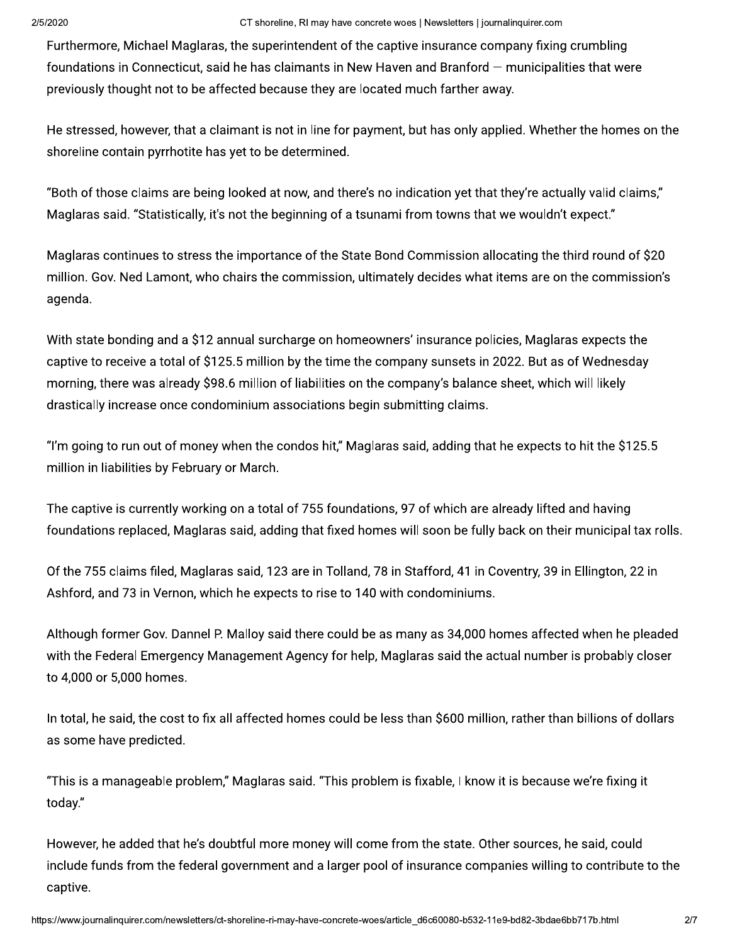Furthermore, Michael Maglaras, the superintendent of the captive insurance company fixing crumbling foundations in Connecticut, said he has claimants in New Haven and Branford – municipalities that were previously thought not to be affected because they are located much farther away.

He stressed, however, that a claimant is not in line for payment, but has only applied. Whether the homes on the shoreline contain pyrrhotite has yet to be determined.

"Both of those claims are being looked at now, and there's no indication yet that they're actually valid claims," Maglaras said. "Statistically, it's not the beginning of a tsunami from towns that we wouldn't expect."

Maglaras continues to stress the importance of the State Bond Commission allocating the third round of \$20 million. Gov. Ned Lamont, who chairs the commission, ultimately decides what items are on the commission's agenda.

With state bonding and a \$12 annual surcharge on homeowners' insurance policies, Maglaras expects the captive to receive a total of \$125.5 million by the time the company sunsets in 2022. But as of Wednesday morning, there was already \$98.6 million of liabilities on the company's balance sheet, which will likely drastically increase once condominium associations begin submitting claims.

"I'm going to run out of money when the condos hit," Maglaras said, adding that he expects to hit the \$125.5 million in liabilities by February or March.

The captive is currently working on a total of 755 foundations, 97 of which are already lifted and having foundations replaced, Maglaras said, adding that fixed homes will soon be fully back on their municipal tax rolls.

Of the 755 claims filed, Maglaras said, 123 are in Tolland, 78 in Stafford, 41 in Coventry, 39 in Ellington, 22 in Ashford, and 73 in Vernon, which he expects to rise to 140 with condominiums.

Although former Gov. Dannel P. Malloy said there could be as many as 34,000 homes affected when he pleaded with the Federal Emergency Management Agency for help, Maglaras said the actual number is probably closer to 4,000 or 5,000 homes.

In total, he said, the cost to fix all affected homes could be less than \$600 million, rather than billions of dollars as some have predicted.

"This is a manageable problem," Maglaras said. "This problem is fixable, I know it is because we're fixing it today."

However, he added that he's doubtful more money will come from the state. Other sources, he said, could include funds from the federal government and a larger pool of insurance companies willing to contribute to the captive.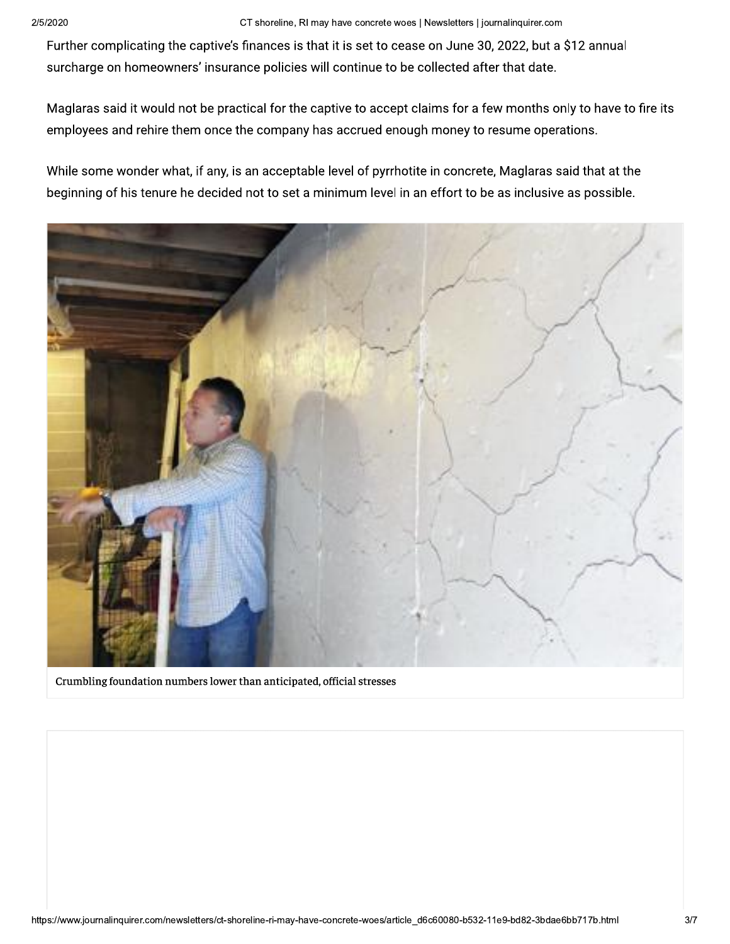Further complicating the captive's finances is that it is set to cease on June 30, 2022, but a \$12 annual surcharge on homeowners' insurance policies will continue to be collected after that date.

Maglaras said it would not be practical for the captive to accept claims for a few months only to have to fire its employees and rehire them once the company has accrued enough money to resume operations.

While some wonder what, if any, is an acceptable level of pyrrhotite in concrete, Maglaras said that at the beginning of his tenure he decided not to set a minimum level in an effort to be as inclusive as possible.



Crumbling foundation numbers lower than anticipated, official stresses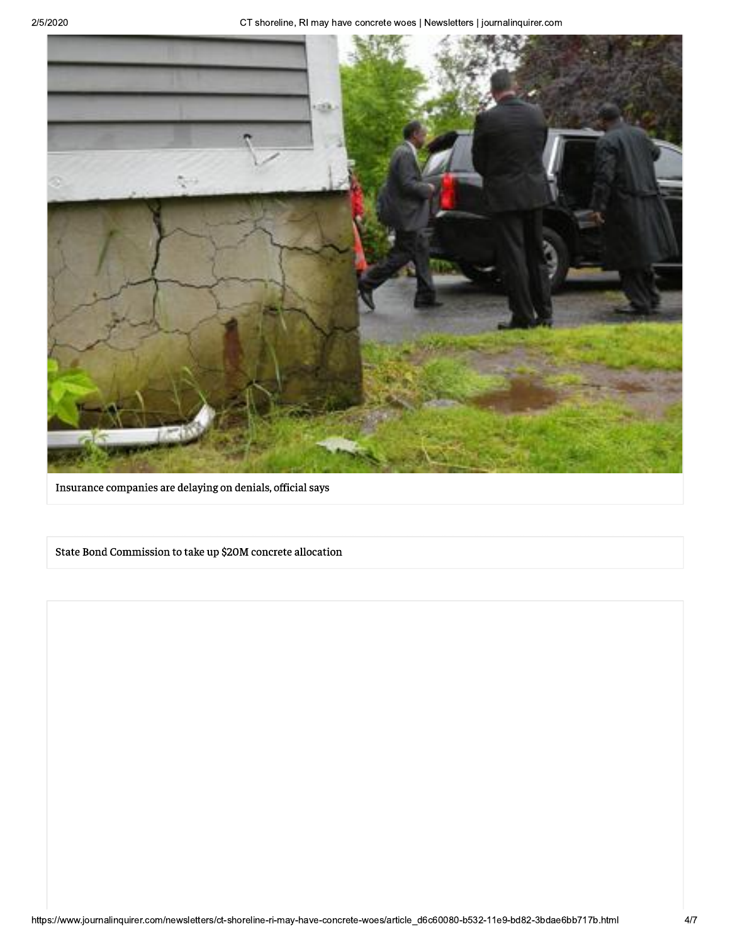CT shoreline, RI may have concrete woes | Newsletters | journalinquirer.com



Insurance companies are delaying on denials, official says

State Bond Commission to take up \$20M concrete allocation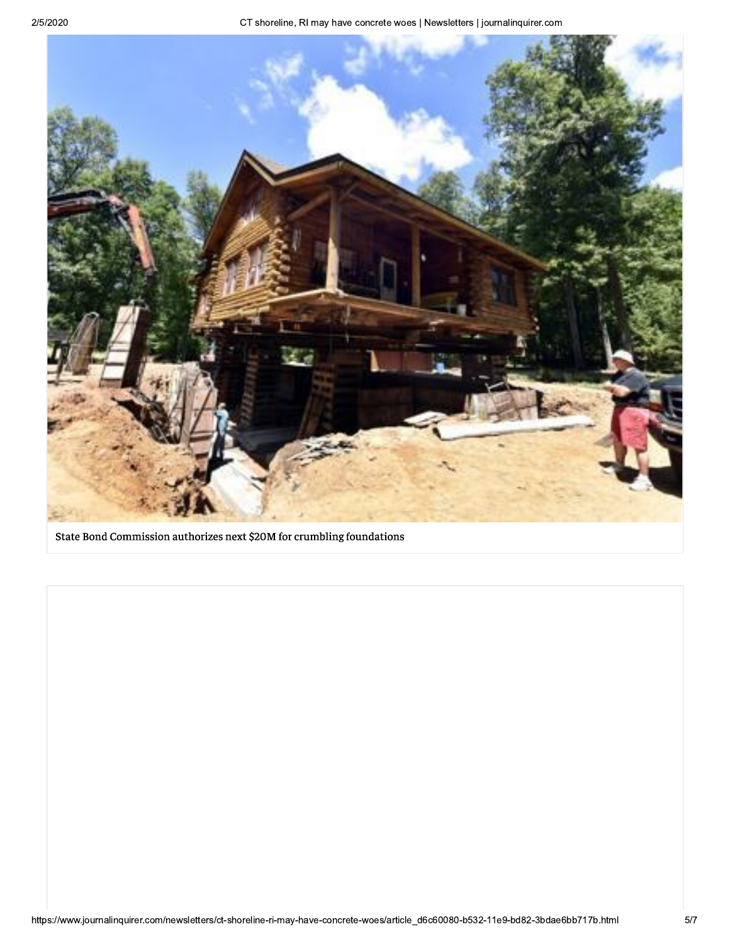

State Bond Commission authorizes next \$20M for crumbling foundations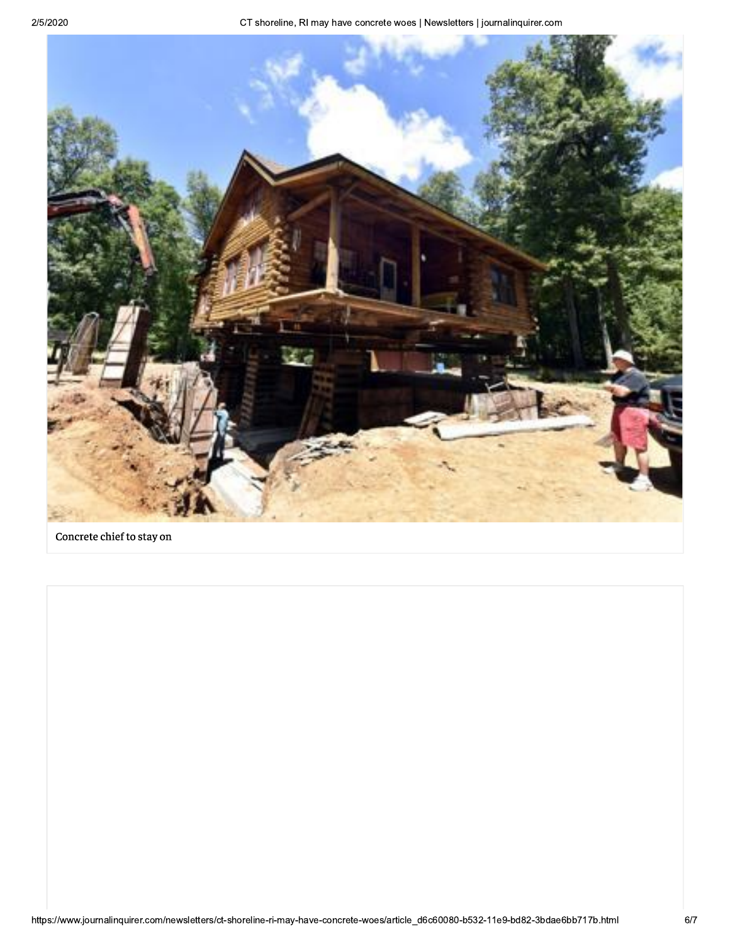

Concrete chief to stay on